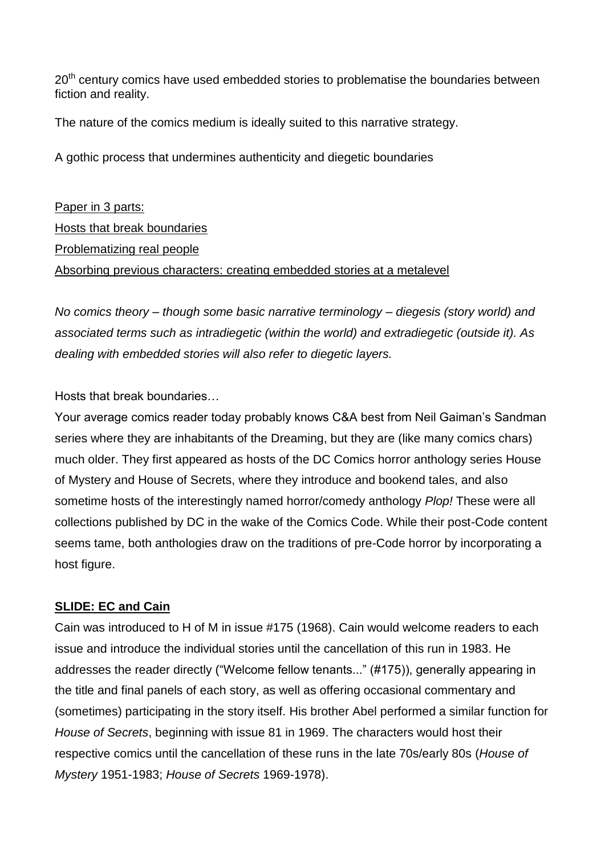20<sup>th</sup> century comics have used embedded stories to problematise the boundaries between fiction and reality.

The nature of the comics medium is ideally suited to this narrative strategy.

A gothic process that undermines authenticity and diegetic boundaries

Paper in 3 parts: Hosts that break boundaries Problematizing real people Absorbing previous characters: creating embedded stories at a metalevel

*No comics theory – though some basic narrative terminology – diegesis (story world) and associated terms such as intradiegetic (within the world) and extradiegetic (outside it). As dealing with embedded stories will also refer to diegetic layers.* 

Hosts that break boundaries…

Your average comics reader today probably knows C&A best from Neil Gaiman's Sandman series where they are inhabitants of the Dreaming, but they are (like many comics chars) much older. They first appeared as hosts of the DC Comics horror anthology series House of Mystery and House of Secrets, where they introduce and bookend tales, and also sometime hosts of the interestingly named horror/comedy anthology *Plop!* These were all collections published by DC in the wake of the Comics Code. While their post-Code content seems tame, both anthologies draw on the traditions of pre-Code horror by incorporating a host figure.

## **SLIDE: EC and Cain**

Cain was introduced to H of M in issue #175 (1968). Cain would welcome readers to each issue and introduce the individual stories until the cancellation of this run in 1983. He addresses the reader directly ("Welcome fellow tenants..." (#175)), generally appearing in the title and final panels of each story, as well as offering occasional commentary and (sometimes) participating in the story itself. His brother Abel performed a similar function for *House of Secrets*, beginning with issue 81 in 1969. The characters would host their respective comics until the cancellation of these runs in the late 70s/early 80s (*House of Mystery* 1951-1983; *House of Secrets* 1969-1978).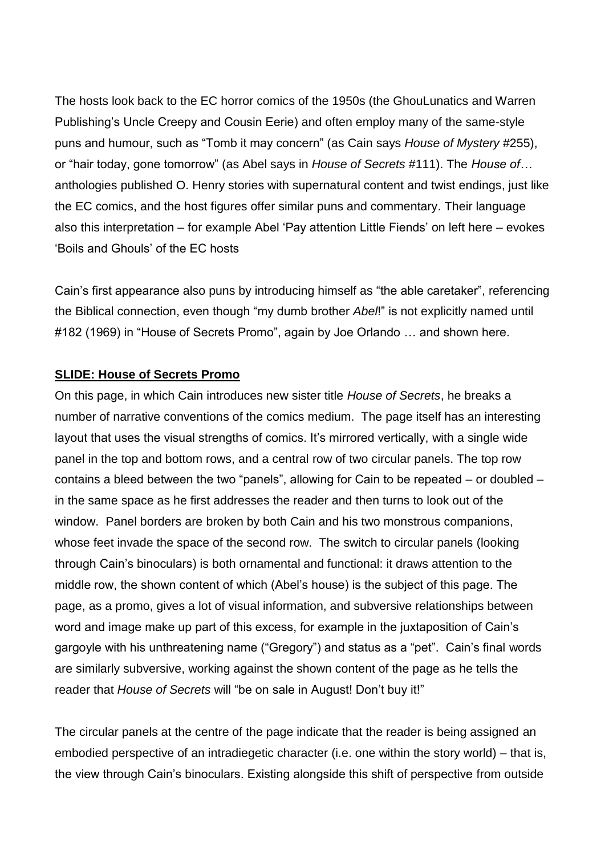The hosts look back to the EC horror comics of the 1950s (the GhouLunatics and Warren Publishing's Uncle Creepy and Cousin Eerie) and often employ many of the same-style puns and humour, such as "Tomb it may concern" (as Cain says *House of Mystery* #255), or "hair today, gone tomorrow" (as Abel says in *House of Secrets* #111). The *House of…*  anthologies published O. Henry stories with supernatural content and twist endings, just like the EC comics, and the host figures offer similar puns and commentary. Their language also this interpretation – for example Abel 'Pay attention Little Fiends' on left here – evokes 'Boils and Ghouls' of the EC hosts

Cain's first appearance also puns by introducing himself as "the able caretaker", referencing the Biblical connection, even though "my dumb brother *Abel*!" is not explicitly named until #182 (1969) in "House of Secrets Promo", again by Joe Orlando … and shown here.

#### **SLIDE: House of Secrets Promo**

On this page, in which Cain introduces new sister title *House of Secrets*, he breaks a number of narrative conventions of the comics medium. The page itself has an interesting layout that uses the visual strengths of comics. It's mirrored vertically, with a single wide panel in the top and bottom rows, and a central row of two circular panels. The top row contains a bleed between the two "panels", allowing for Cain to be repeated – or doubled – in the same space as he first addresses the reader and then turns to look out of the window. Panel borders are broken by both Cain and his two monstrous companions, whose feet invade the space of the second row. The switch to circular panels (looking through Cain's binoculars) is both ornamental and functional: it draws attention to the middle row, the shown content of which (Abel's house) is the subject of this page. The page, as a promo, gives a lot of visual information, and subversive relationships between word and image make up part of this excess, for example in the juxtaposition of Cain's gargoyle with his unthreatening name ("Gregory") and status as a "pet". Cain's final words are similarly subversive, working against the shown content of the page as he tells the reader that *House of Secrets* will "be on sale in August! Don't buy it!"

The circular panels at the centre of the page indicate that the reader is being assigned an embodied perspective of an intradiegetic character (i.e. one within the story world) – that is, the view through Cain's binoculars. Existing alongside this shift of perspective from outside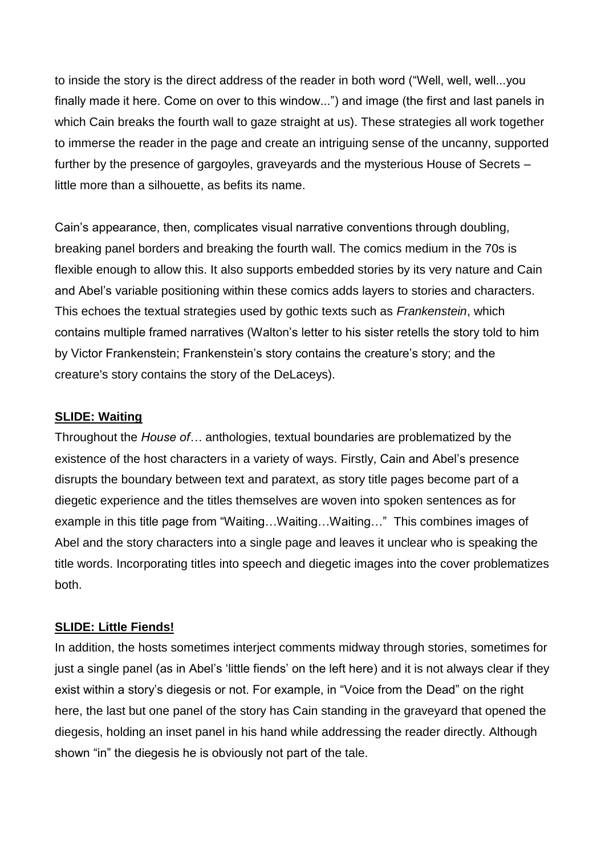to inside the story is the direct address of the reader in both word ("Well, well, well...you finally made it here. Come on over to this window...") and image (the first and last panels in which Cain breaks the fourth wall to gaze straight at us). These strategies all work together to immerse the reader in the page and create an intriguing sense of the uncanny, supported further by the presence of gargoyles, graveyards and the mysterious House of Secrets – little more than a silhouette, as befits its name.

Cain's appearance, then, complicates visual narrative conventions through doubling, breaking panel borders and breaking the fourth wall. The comics medium in the 70s is flexible enough to allow this. It also supports embedded stories by its very nature and Cain and Abel's variable positioning within these comics adds layers to stories and characters. This echoes the textual strategies used by gothic texts such as *Frankenstein*, which contains multiple framed narratives (Walton's letter to his sister retells the story told to him by Victor Frankenstein; Frankenstein's story contains the creature's story; and the creature's story contains the story of the DeLaceys).

### **SLIDE: Waiting**

Throughout the *House of…* anthologies, textual boundaries are problematized by the existence of the host characters in a variety of ways. Firstly, Cain and Abel's presence disrupts the boundary between text and paratext, as story title pages become part of a diegetic experience and the titles themselves are woven into spoken sentences as for example in this title page from "Waiting…Waiting…Waiting…" This combines images of Abel and the story characters into a single page and leaves it unclear who is speaking the title words. Incorporating titles into speech and diegetic images into the cover problematizes both.

### **SLIDE: Little Fiends!**

In addition, the hosts sometimes interject comments midway through stories, sometimes for just a single panel (as in Abel's 'little fiends' on the left here) and it is not always clear if they exist within a story's diegesis or not. For example, in "Voice from the Dead" on the right here, the last but one panel of the story has Cain standing in the graveyard that opened the diegesis, holding an inset panel in his hand while addressing the reader directly. Although shown "in" the diegesis he is obviously not part of the tale.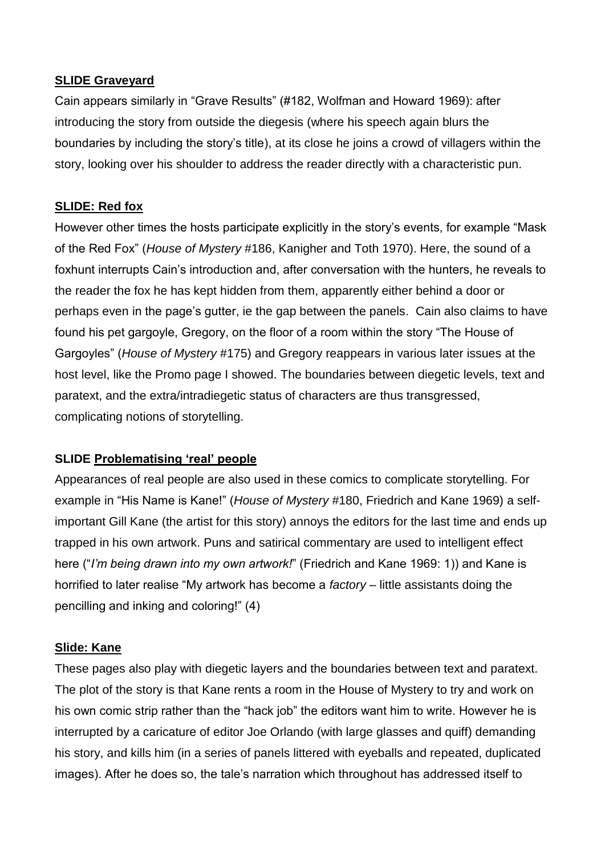### **SLIDE Graveyard**

Cain appears similarly in "Grave Results" (#182, Wolfman and Howard 1969): after introducing the story from outside the diegesis (where his speech again blurs the boundaries by including the story's title), at its close he joins a crowd of villagers within the story, looking over his shoulder to address the reader directly with a characteristic pun.

## **SLIDE: Red fox**

However other times the hosts participate explicitly in the story's events, for example "Mask of the Red Fox" (*House of Mystery* #186, Kanigher and Toth 1970). Here, the sound of a foxhunt interrupts Cain's introduction and, after conversation with the hunters, he reveals to the reader the fox he has kept hidden from them, apparently either behind a door or perhaps even in the page's gutter, ie the gap between the panels. Cain also claims to have found his pet gargoyle, Gregory, on the floor of a room within the story "The House of Gargoyles" (*House of Mystery* #175) and Gregory reappears in various later issues at the host level, like the Promo page I showed. The boundaries between diegetic levels, text and paratext, and the extra/intradiegetic status of characters are thus transgressed, complicating notions of storytelling.

## **SLIDE Problematising 'real' people**

Appearances of real people are also used in these comics to complicate storytelling. For example in "His Name is Kane!" (*House of Mystery* #180, Friedrich and Kane 1969) a selfimportant Gill Kane (the artist for this story) annoys the editors for the last time and ends up trapped in his own artwork. Puns and satirical commentary are used to intelligent effect here ("*I'm being drawn into my own artwork!*" (Friedrich and Kane 1969: 1)) and Kane is horrified to later realise "My artwork has become a *factory* – little assistants doing the pencilling and inking and coloring!" (4)

### **Slide: Kane**

These pages also play with diegetic layers and the boundaries between text and paratext. The plot of the story is that Kane rents a room in the House of Mystery to try and work on his own comic strip rather than the "hack job" the editors want him to write. However he is interrupted by a caricature of editor Joe Orlando (with large glasses and quiff) demanding his story, and kills him (in a series of panels littered with eyeballs and repeated, duplicated images). After he does so, the tale's narration which throughout has addressed itself to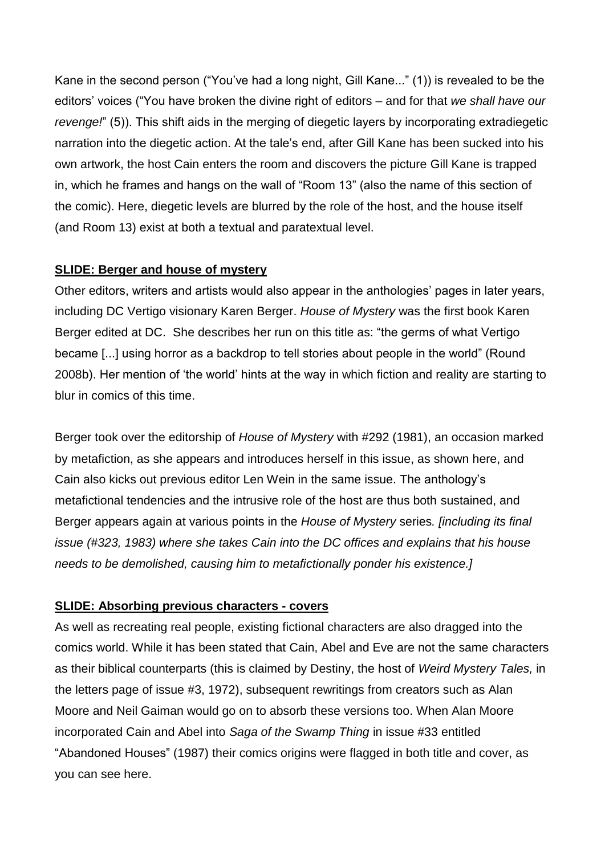Kane in the second person ("You've had a long night, Gill Kane..." (1)) is revealed to be the editors' voices ("You have broken the divine right of editors – and for that *we shall have our revenge!*" (5)). This shift aids in the merging of diegetic layers by incorporating extradiegetic narration into the diegetic action. At the tale's end, after Gill Kane has been sucked into his own artwork, the host Cain enters the room and discovers the picture Gill Kane is trapped in, which he frames and hangs on the wall of "Room 13" (also the name of this section of the comic). Here, diegetic levels are blurred by the role of the host, and the house itself (and Room 13) exist at both a textual and paratextual level.

### **SLIDE: Berger and house of mystery**

Other editors, writers and artists would also appear in the anthologies' pages in later years, including DC Vertigo visionary Karen Berger. *House of Mystery* was the first book Karen Berger edited at DC. She describes her run on this title as: "the germs of what Vertigo became [...] using horror as a backdrop to tell stories about people in the world" (Round 2008b). Her mention of 'the world' hints at the way in which fiction and reality are starting to blur in comics of this time.

Berger took over the editorship of *House of Mystery* with #292 (1981), an occasion marked by metafiction, as she appears and introduces herself in this issue, as shown here, and Cain also kicks out previous editor Len Wein in the same issue. The anthology's metafictional tendencies and the intrusive role of the host are thus both sustained, and Berger appears again at various points in the *House of Mystery* series*. [including its final issue (#323, 1983) where she takes Cain into the DC offices and explains that his house needs to be demolished, causing him to metafictionally ponder his existence.]*

## **SLIDE: Absorbing previous characters - covers**

As well as recreating real people, existing fictional characters are also dragged into the comics world. While it has been stated that Cain, Abel and Eve are not the same characters as their biblical counterparts (this is claimed by Destiny, the host of *Weird Mystery Tales,* in the letters page of issue #3, 1972), subsequent rewritings from creators such as Alan Moore and Neil Gaiman would go on to absorb these versions too. When Alan Moore incorporated Cain and Abel into *Saga of the Swamp Thing* in issue #33 entitled "Abandoned Houses" (1987) their comics origins were flagged in both title and cover, as you can see here.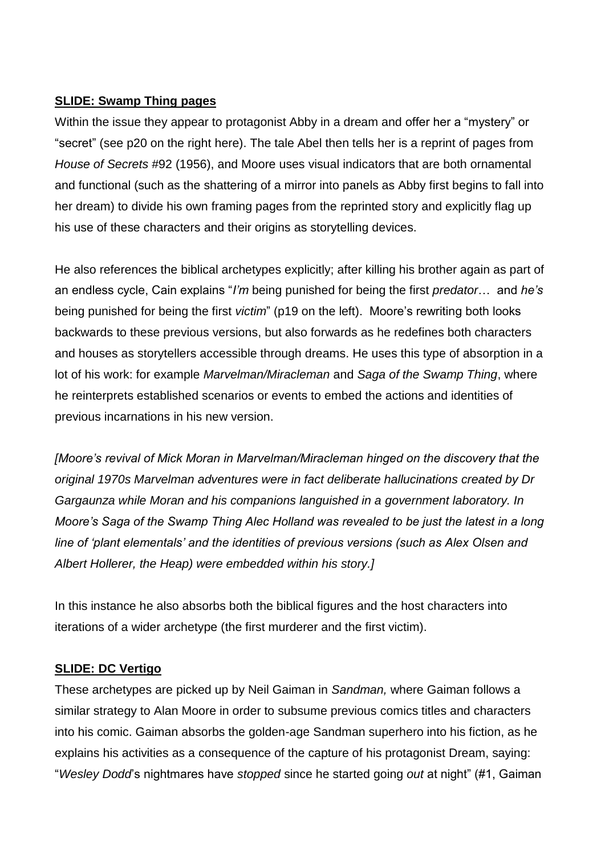# **SLIDE: Swamp Thing pages**

Within the issue they appear to protagonist Abby in a dream and offer her a "mystery" or "secret" (see p20 on the right here). The tale Abel then tells her is a reprint of pages from *House of Secrets* #92 (1956), and Moore uses visual indicators that are both ornamental and functional (such as the shattering of a mirror into panels as Abby first begins to fall into her dream) to divide his own framing pages from the reprinted story and explicitly flag up his use of these characters and their origins as storytelling devices.

He also references the biblical archetypes explicitly; after killing his brother again as part of an endless cycle, Cain explains "*I'm* being punished for being the first *predator*… and *he's* being punished for being the first *victim*" (p19 on the left). Moore's rewriting both looks backwards to these previous versions, but also forwards as he redefines both characters and houses as storytellers accessible through dreams. He uses this type of absorption in a lot of his work: for example *Marvelman/Miracleman* and *Saga of the Swamp Thing*, where he reinterprets established scenarios or events to embed the actions and identities of previous incarnations in his new version.

*[Moore's revival of Mick Moran in Marvelman/Miracleman hinged on the discovery that the original 1970s Marvelman adventures were in fact deliberate hallucinations created by Dr Gargaunza while Moran and his companions languished in a government laboratory. In Moore's Saga of the Swamp Thing Alec Holland was revealed to be just the latest in a long line of 'plant elementals' and the identities of previous versions (such as Alex Olsen and Albert Hollerer, the Heap) were embedded within his story.]*

In this instance he also absorbs both the biblical figures and the host characters into iterations of a wider archetype (the first murderer and the first victim).

## **SLIDE: DC Vertigo**

These archetypes are picked up by Neil Gaiman in *Sandman,* where Gaiman follows a similar strategy to Alan Moore in order to subsume previous comics titles and characters into his comic. Gaiman absorbs the golden-age Sandman superhero into his fiction, as he explains his activities as a consequence of the capture of his protagonist Dream, saying: "*Wesley Dodd*'s nightmares have *stopped* since he started going *out* at night" (#1, Gaiman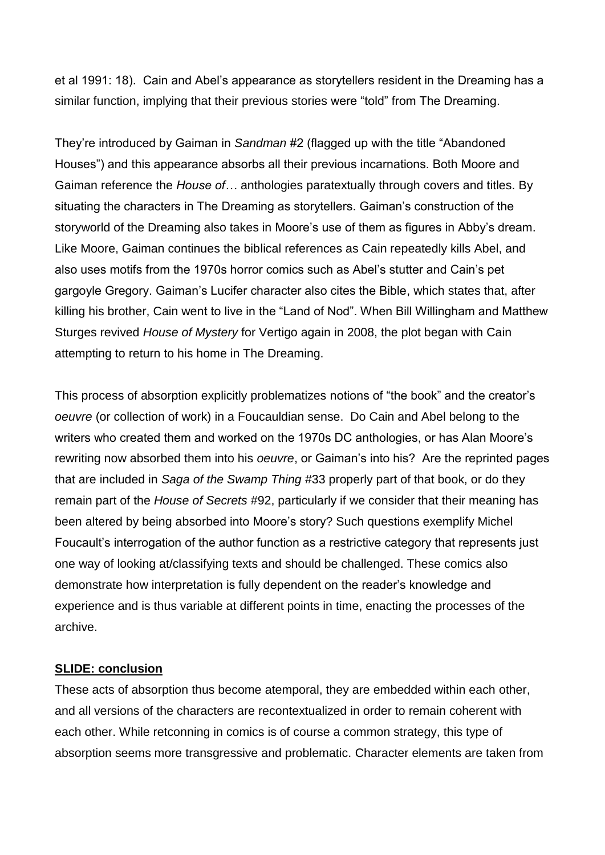et al 1991: 18). Cain and Abel's appearance as storytellers resident in the Dreaming has a similar function, implying that their previous stories were "told" from The Dreaming.

They're introduced by Gaiman in *Sandman* #2 (flagged up with the title "Abandoned Houses") and this appearance absorbs all their previous incarnations. Both Moore and Gaiman reference the *House of…* anthologies paratextually through covers and titles. By situating the characters in The Dreaming as storytellers. Gaiman's construction of the storyworld of the Dreaming also takes in Moore's use of them as figures in Abby's dream. Like Moore, Gaiman continues the biblical references as Cain repeatedly kills Abel, and also uses motifs from the 1970s horror comics such as Abel's stutter and Cain's pet gargoyle Gregory. Gaiman's Lucifer character also cites the Bible, which states that, after killing his brother, Cain went to live in the "Land of Nod". When Bill Willingham and Matthew Sturges revived *House of Mystery* for Vertigo again in 2008, the plot began with Cain attempting to return to his home in The Dreaming.

This process of absorption explicitly problematizes notions of "the book" and the creator's *oeuvre* (or collection of work) in a Foucauldian sense. Do Cain and Abel belong to the writers who created them and worked on the 1970s DC anthologies, or has Alan Moore's rewriting now absorbed them into his *oeuvre*, or Gaiman's into his? Are the reprinted pages that are included in *Saga of the Swamp Thing* #33 properly part of that book, or do they remain part of the *House of Secrets* #92, particularly if we consider that their meaning has been altered by being absorbed into Moore's story? Such questions exemplify Michel Foucault's interrogation of the author function as a restrictive category that represents just one way of looking at/classifying texts and should be challenged. These comics also demonstrate how interpretation is fully dependent on the reader's knowledge and experience and is thus variable at different points in time, enacting the processes of the archive.

## **SLIDE: conclusion**

These acts of absorption thus become atemporal, they are embedded within each other, and all versions of the characters are recontextualized in order to remain coherent with each other. While retconning in comics is of course a common strategy, this type of absorption seems more transgressive and problematic. Character elements are taken from